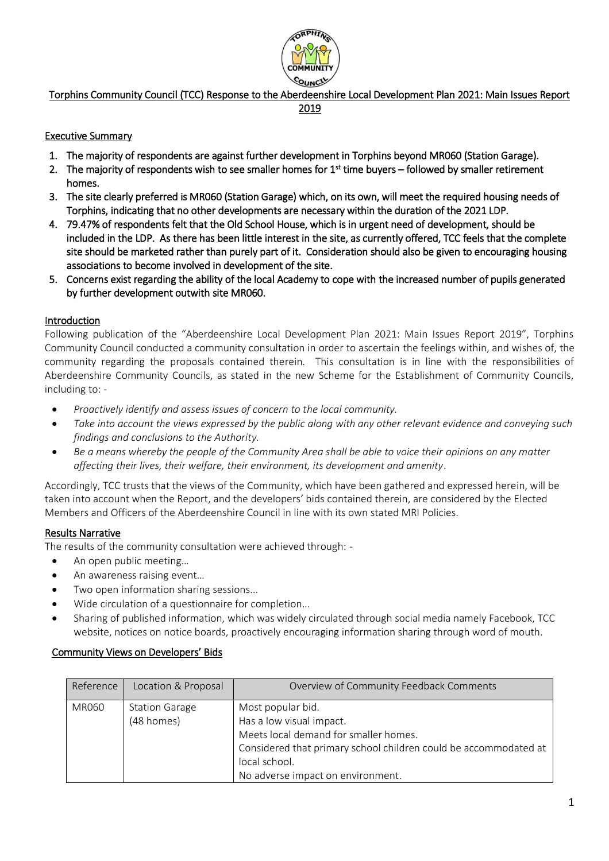

# Torphins Community Council (TCC) Response to the Aberdeenshire Local Development Plan 2021: Main Issues Report

#### 2019

### Executive Summary

- 1. The majority of respondents are against further development in Torphins beyond MR060 (Station Garage).
- 2. The majority of respondents wish to see smaller homes for 1<sup>st</sup> time buyers followed by smaller retirement homes.
- 3. The site clearly preferred is MR060 (Station Garage) which, on its own, will meet the required housing needs of Torphins, indicating that no other developments are necessary within the duration of the 2021 LDP.
- 4. 79.47% of respondents felt that the Old School House, which is in urgent need of development, should be included in the LDP. As there has been little interest in the site, as currently offered, TCC feels that the complete site should be marketed rather than purely part of it. Consideration should also be given to encouraging housing associations to become involved in development of the site.
- 5. Concerns exist regarding the ability of the local Academy to cope with the increased number of pupils generated by further development outwith site MR060.

## Introduction

Following publication of the "Aberdeenshire Local Development Plan 2021: Main Issues Report 2019", Torphins Community Council conducted a community consultation in order to ascertain the feelings within, and wishes of, the community regarding the proposals contained therein. This consultation is in line with the responsibilities of Aberdeenshire Community Councils, as stated in the new Scheme for the Establishment of Community Councils, including to: -

- *Proactively identify and assess issues of concern to the local community.*
- *Take into account the views expressed by the public along with any other relevant evidence and conveying such findings and conclusions to the Authority.*
- *Be a means whereby the people of the Community Area shall be able to voice their opinions on any matter affecting their lives, their welfare, their environment, its development and amenity*.

Accordingly, TCC trusts that the views of the Community, which have been gathered and expressed herein, will be taken into account when the Report, and the developers' bids contained therein, are considered by the Elected Members and Officers of the Aberdeenshire Council in line with its own stated MRI Policies.

### Results Narrative

The results of the community consultation were achieved through: -

- An open public meeting…
- An awareness raising event...
- Two open information sharing sessions...
- Wide circulation of a questionnaire for completion...
- Sharing of published information, which was widely circulated through social media namely Facebook, TCC website, notices on notice boards, proactively encouraging information sharing through word of mouth.

## Community Views on Developers' Bids

| Reference    | Location & Proposal   | Overview of Community Feedback Comments                          |
|--------------|-----------------------|------------------------------------------------------------------|
| <b>MR060</b> | <b>Station Garage</b> | Most popular bid.                                                |
|              | (48 homes)            | Has a low visual impact.                                         |
|              |                       | Meets local demand for smaller homes.                            |
|              |                       | Considered that primary school children could be accommodated at |
|              |                       | local school.                                                    |
|              |                       | No adverse impact on environment.                                |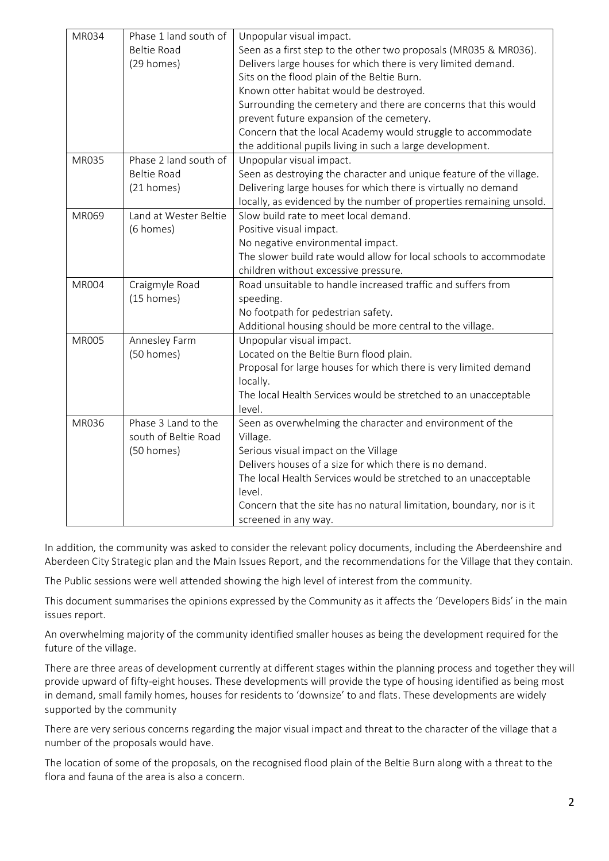| MR034        | Phase 1 land south of | Unpopular visual impact.                                             |
|--------------|-----------------------|----------------------------------------------------------------------|
|              | <b>Beltie Road</b>    | Seen as a first step to the other two proposals (MR035 & MR036).     |
|              | (29 homes)            | Delivers large houses for which there is very limited demand.        |
|              |                       | Sits on the flood plain of the Beltie Burn.                          |
|              |                       | Known otter habitat would be destroyed.                              |
|              |                       | Surrounding the cemetery and there are concerns that this would      |
|              |                       | prevent future expansion of the cemetery.                            |
|              |                       | Concern that the local Academy would struggle to accommodate         |
|              |                       | the additional pupils living in such a large development.            |
| MR035        | Phase 2 land south of | Unpopular visual impact.                                             |
|              | <b>Beltie Road</b>    | Seen as destroying the character and unique feature of the village.  |
|              | (21 homes)            | Delivering large houses for which there is virtually no demand       |
|              |                       | locally, as evidenced by the number of properties remaining unsold.  |
| MR069        | Land at Wester Beltie | Slow build rate to meet local demand.                                |
|              | (6 homes)             | Positive visual impact.                                              |
|              |                       | No negative environmental impact.                                    |
|              |                       | The slower build rate would allow for local schools to accommodate   |
|              |                       | children without excessive pressure.                                 |
| <b>MR004</b> | Craigmyle Road        | Road unsuitable to handle increased traffic and suffers from         |
|              | (15 homes)            | speeding.                                                            |
|              |                       | No footpath for pedestrian safety.                                   |
|              |                       | Additional housing should be more central to the village.            |
| <b>MR005</b> | Annesley Farm         | Unpopular visual impact.                                             |
|              | (50 homes)            | Located on the Beltie Burn flood plain.                              |
|              |                       | Proposal for large houses for which there is very limited demand     |
|              |                       | locally.                                                             |
|              |                       | The local Health Services would be stretched to an unacceptable      |
|              |                       | level.                                                               |
| <b>MR036</b> | Phase 3 Land to the   | Seen as overwhelming the character and environment of the            |
|              | south of Beltie Road  | Village.                                                             |
|              | (50 homes)            | Serious visual impact on the Village                                 |
|              |                       | Delivers houses of a size for which there is no demand.              |
|              |                       | The local Health Services would be stretched to an unacceptable      |
|              |                       | level.                                                               |
|              |                       | Concern that the site has no natural limitation, boundary, nor is it |
|              |                       | screened in any way.                                                 |

In addition, the community was asked to consider the relevant policy documents, including the Aberdeenshire and Aberdeen City Strategic plan and the Main Issues Report, and the recommendations for the Village that they contain.

The Public sessions were well attended showing the high level of interest from the community.

This document summarises the opinions expressed by the Community as it affects the 'Developers Bids' in the main issues report.

An overwhelming majority of the community identified smaller houses as being the development required for the future of the village.

There are three areas of development currently at different stages within the planning process and together they will provide upward of fifty-eight houses. These developments will provide the type of housing identified as being most in demand, small family homes, houses for residents to 'downsize' to and flats. These developments are widely supported by the community

There are very serious concerns regarding the major visual impact and threat to the character of the village that a number of the proposals would have.

The location of some of the proposals, on the recognised flood plain of the Beltie Burn along with a threat to the flora and fauna of the area is also a concern.